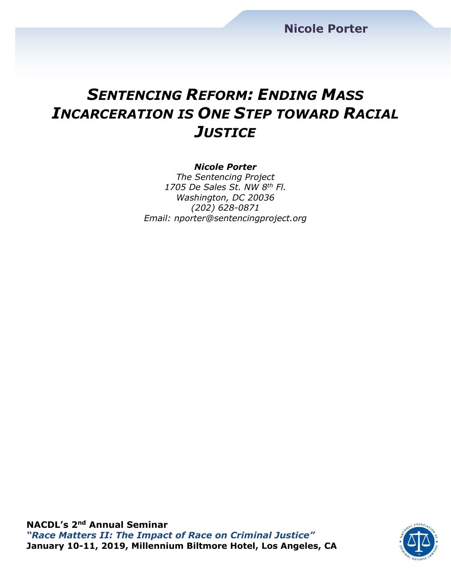## *SENTENCING REFORM: ENDING MASS INCARCERATION IS ONE STEP TOWARD RACIAL JUSTICE*

#### *Nicole Porter*

*The Sentencing Project 1705 De Sales St. NW 8th Fl. Washington, DC 20036 (202) 628-0871 Email: nporter@sentencingproject.org*

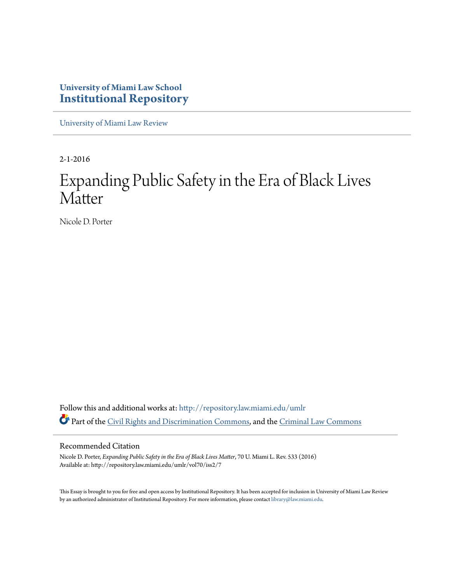### **University of Miami Law School [Institutional Repository](http://repository.law.miami.edu?utm_source=repository.law.miami.edu%2Fumlr%2Fvol70%2Fiss2%2F7&utm_medium=PDF&utm_campaign=PDFCoverPages)**

[University of Miami Law Review](http://repository.law.miami.edu/umlr?utm_source=repository.law.miami.edu%2Fumlr%2Fvol70%2Fiss2%2F7&utm_medium=PDF&utm_campaign=PDFCoverPages)

2-1-2016

# Expanding Public Safety in the Era of Black Lives **Matter**

Nicole D. Porter

Follow this and additional works at: [http://repository.law.miami.edu/umlr](http://repository.law.miami.edu/umlr?utm_source=repository.law.miami.edu%2Fumlr%2Fvol70%2Fiss2%2F7&utm_medium=PDF&utm_campaign=PDFCoverPages) Part of the [Civil Rights and Discrimination Commons,](http://network.bepress.com/hgg/discipline/585?utm_source=repository.law.miami.edu%2Fumlr%2Fvol70%2Fiss2%2F7&utm_medium=PDF&utm_campaign=PDFCoverPages) and the [Criminal Law Commons](http://network.bepress.com/hgg/discipline/912?utm_source=repository.law.miami.edu%2Fumlr%2Fvol70%2Fiss2%2F7&utm_medium=PDF&utm_campaign=PDFCoverPages)

#### Recommended Citation

Nicole D. Porter, *Expanding Public Safety in the Era of Black Lives Matter*, 70 U. Miami L. Rev. 533 (2016) Available at: http://repository.law.miami.edu/umlr/vol70/iss2/7

This Essay is brought to you for free and open access by Institutional Repository. It has been accepted for inclusion in University of Miami Law Review by an authorized administrator of Institutional Repository. For more information, please contact [library@law.miami.edu.](mailto:library@law.miami.edu)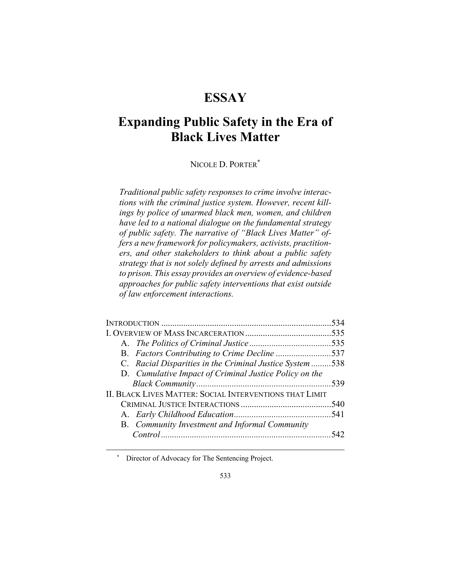## **ESSAY**

## **Expanding Public Safety in the Era of Black Lives Matter**

NICOLE D. PORTER\*

*Traditional public safety responses to crime involve interactions with the criminal justice system. However, recent killings by police of unarmed black men, women, and children have led to a national dialogue on the fundamental strategy of public safety. The narrative of "Black Lives Matter" offers a new framework for policymakers, activists, practitioners, and other stakeholders to think about a public safety strategy that is not solely defined by arrests and admissions to prison. This essay provides an overview of evidence-based approaches for public safety interventions that exist outside of law enforcement interactions.* 

| 534                                                      |
|----------------------------------------------------------|
|                                                          |
|                                                          |
| B. Factors Contributing to Crime Decline 537             |
| C. Racial Disparities in the Criminal Justice System 538 |
|                                                          |
|                                                          |
|                                                          |
|                                                          |
|                                                          |
|                                                          |
|                                                          |
|                                                          |

\* Director of Advocacy for The Sentencing Project.

 $\overline{a}$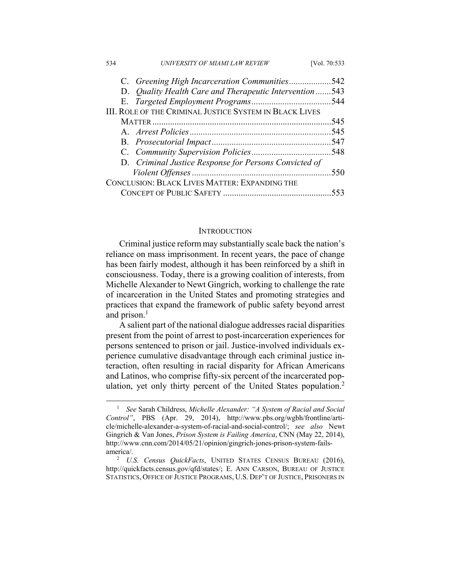| 534 | UNIVERSITY OF MIAMI LAW REVIEW                                 | [Vol. 70:533 |
|-----|----------------------------------------------------------------|--------------|
|     | C. Greening High Incarceration Communities542                  |              |
|     | D. Quality Health Care and Therapeutic Intervention543         |              |
|     |                                                                |              |
|     | <b>III. ROLE OF THE CRIMINAL JUSTICE SYSTEM IN BLACK LIVES</b> |              |
|     |                                                                | .545         |
|     |                                                                |              |
|     |                                                                |              |
|     |                                                                |              |
|     | D. Criminal Justice Response for Persons Convicted of          |              |
|     |                                                                | .550         |
|     | CONCLUSION: BLACK LIVES MATTER: EXPANDING THE                  |              |
|     |                                                                | 553          |

#### **INTRODUCTION**

Criminal justice reform may substantially scale back the nation's reliance on mass imprisonment. In recent years, the pace of change has been fairly modest, although it has been reinforced by a shift in consciousness. Today, there is a growing coalition of interests, from Michelle Alexander to Newt Gingrich, working to challenge the rate of incarceration in the United States and promoting strategies and practices that expand the framework of public safety beyond arrest and prison. $<sup>1</sup>$ </sup>

A salient part of the national dialogue addresses racial disparities present from the point of arrest to post-incarceration experiences for persons sentenced to prison or jail. Justice-involved individuals experience cumulative disadvantage through each criminal justice interaction, often resulting in racial disparity for African Americans and Latinos, who comprise fifty-six percent of the incarcerated population, yet only thirty percent of the United States population.<sup>2</sup>

 $\frac{1}{1}$  *See* Sarah Childress, *Michelle Alexander: "A System of Racial and Social Control"*, PBS (Apr. 29, 2014), http://www.pbs.org/wgbh/frontline/article/michelle-alexander-a-system-of-racial-and-social-control/; *see also* Newt Gingrich & Van Jones, *Prison System is Failing America*, CNN (May 22, 2014), http://www.cnn.com/2014/05/21/opinion/gingrich-jones-prison-system-failsamerica/. 2

*U.S. Census QuickFacts*, UNITED STATES CENSUS BUREAU (2016), http://quickfacts.census.gov/qfd/states/; E. ANN CARSON, BUREAU OF JUSTICE STATISTICS, OFFICE OF JUSTICE PROGRAMS, U.S. DEP'T OF JUSTICE, PRISONERS IN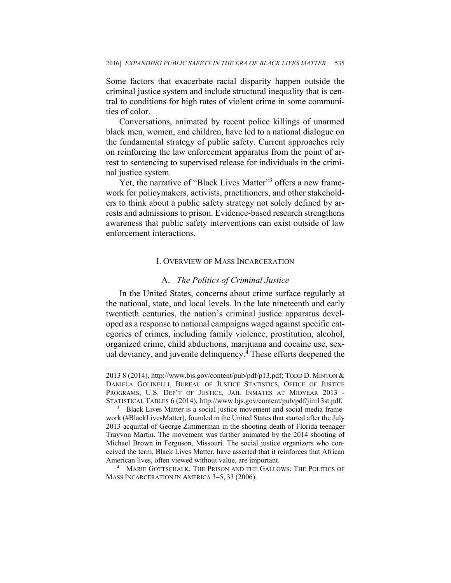Some factors that exacerbate racial disparity happen outside the criminal justice system and include structural inequality that is central to conditions for high rates of violent crime in some communities of color.

Conversations, animated by recent police killings of unarmed black men, women, and children, have led to a national dialogue on the fundamental strategy of public safety. Current approaches rely on reinforcing the law enforcement apparatus from the point of arrest to sentencing to supervised release for individuals in the criminal justice system.

Yet, the narrative of "Black Lives Matter"<sup>3</sup> offers a new framework for policymakers, activists, practitioners, and other stakeholders to think about a public safety strategy not solely defined by arrests and admissions to prison. Evidence-based research strengthens awareness that public safety interventions can exist outside of law enforcement interactions.

#### I. OVERVIEW OF MASS INCARCERATION

#### A. *The Politics of Criminal Justice*

In the United States, concerns about crime surface regularly at the national, state, and local levels. In the late nineteenth and early twentieth centuries, the nation's criminal justice apparatus developed as a response to national campaigns waged against specific categories of crimes, including family violence, prostitution, alcohol, organized crime, child abductions, marijuana and cocaine use, sexual deviancy, and juvenile delinquency.<sup>4</sup> These efforts deepened the

1

<sup>4</sup> MARIE GOTTSCHALK, THE PRISON AND THE GALLOWS: THE POLITICS OF MASS INCARCERATION IN AMERICA 3–5, 33 (2006).

<sup>2013 8 (2014),</sup> http://www.bjs.gov/content/pub/pdf/p13.pdf; TODD D. MINTON & DANIELA GOLINELLI, BUREAU OF JUSTICE STATISTICS, OFFICE OF JUSTICE PROGRAMS, U.S. DEP'T OF JUSTICE, JAIL INMATES AT MIDYEAR 2013 - STATISTICAL TABLES 6 (2014), http://www.bjs.gov/content/pub/pdf/jim13st.pdf. 3

<sup>&</sup>lt;sup>3</sup> Black Lives Matter is a social justice movement and social media framework (#BlackLivesMatter), founded in the United States that started after the July 2013 acquittal of George Zimmerman in the shooting death of Florida teenager Trayvon Martin. The movement was further animated by the 2014 shooting of Michael Brown in Ferguson, Missouri. The social justice organizers who conceived the term, Black Lives Matter, have asserted that it reinforces that African American lives, often viewed without value, are important. 4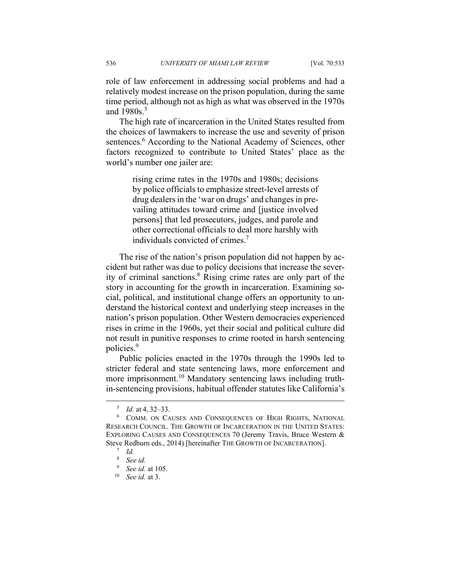role of law enforcement in addressing social problems and had a relatively modest increase on the prison population, during the same time period, although not as high as what was observed in the 1970s and  $1980s$ <sup>5</sup>

The high rate of incarceration in the United States resulted from the choices of lawmakers to increase the use and severity of prison sentences.<sup>6</sup> According to the National Academy of Sciences, other factors recognized to contribute to United States' place as the world's number one jailer are:

> rising crime rates in the 1970s and 1980s; decisions by police officials to emphasize street-level arrests of drug dealers in the 'war on drugs' and changes in prevailing attitudes toward crime and [justice involved persons] that led prosecutors, judges, and parole and other correctional officials to deal more harshly with individuals convicted of crimes.7

The rise of the nation's prison population did not happen by accident but rather was due to policy decisions that increase the severity of criminal sanctions.<sup>8</sup> Rising crime rates are only part of the story in accounting for the growth in incarceration. Examining social, political, and institutional change offers an opportunity to understand the historical context and underlying steep increases in the nation's prison population. Other Western democracies experienced rises in crime in the 1960s, yet their social and political culture did not result in punitive responses to crime rooted in harsh sentencing policies.9

Public policies enacted in the 1970s through the 1990s led to stricter federal and state sentencing laws, more enforcement and more imprisonment.10 Mandatory sentencing laws including truthin-sentencing provisions, habitual offender statutes like California's

 $\frac{1}{5}$  $^{5}$  *Id.* at 4, 32–33.

COMM. ON CAUSES AND CONSEQUENCES OF HIGH RIGHTS, NATIONAL RESEARCH COUNCIL. THE GROWTH OF INCARCERATION IN THE UNITED STATES: EXPLORING CAUSES AND CONSEQUENCES 70 (Jeremy Travis, Bruce Western & Steve Redburn eds., 2014) [hereinafter THE GROWTH OF INCARCERATION].

*Id.*

<sup>8</sup>  *See id.*

 $9$  See id. at 105.

<sup>&</sup>lt;sup>10</sup> *See id.* at 3.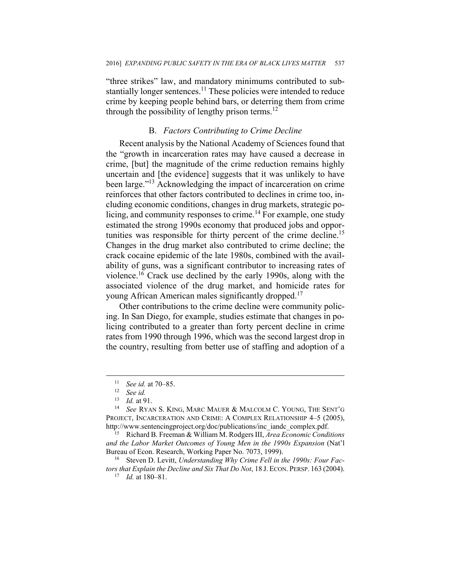"three strikes" law, and mandatory minimums contributed to substantially longer sentences.<sup>11</sup> These policies were intended to reduce crime by keeping people behind bars, or deterring them from crime through the possibility of lengthy prison terms. $^{12}$ 

#### B. *Factors Contributing to Crime Decline*

Recent analysis by the National Academy of Sciences found that the "growth in incarceration rates may have caused a decrease in crime, [but] the magnitude of the crime reduction remains highly uncertain and [the evidence] suggests that it was unlikely to have been large."13 Acknowledging the impact of incarceration on crime reinforces that other factors contributed to declines in crime too, including economic conditions, changes in drug markets, strategic policing, and community responses to crime.<sup>14</sup> For example, one study estimated the strong 1990s economy that produced jobs and opportunities was responsible for thirty percent of the crime decline.15 Changes in the drug market also contributed to crime decline; the crack cocaine epidemic of the late 1980s, combined with the availability of guns, was a significant contributor to increasing rates of violence.16 Crack use declined by the early 1990s, along with the associated violence of the drug market, and homicide rates for young African American males significantly dropped.17

Other contributions to the crime decline were community policing. In San Diego, for example, studies estimate that changes in policing contributed to a greater than forty percent decline in crime rates from 1990 through 1996, which was the second largest drop in the country, resulting from better use of staffing and adoption of a

<sup>11</sup> *See id.* at 70–85. 12 *See id.*

<sup>13</sup> *Id.* at 91. 14 *See* RYAN S. KING, MARC MAUER & MALCOLM C. YOUNG, THE SENT'G PROJECT, INCARCERATION AND CRIME: A COMPLEX RELATIONSHIP 4–5 (2005), http://www.sentencingproject.org/doc/publications/inc\_iandc\_complex.pdf. 15 Richard B. Freeman & William M. Rodgers III, *Area Economic Conditions* 

*and the Labor Market Outcomes of Young Men in the 1990s Expansion* (Nat'l Bureau of Econ. Research, Working Paper No. 7073, 1999).<br><sup>16</sup> Steven D. Levitt, *Understanding Why Crime Fell in the 1990s: Four Fac-*

*tors that Explain the Decline and Six That Do Not*, 18 J. ECON. PERSP. <sup>163</sup> (2004). 17 *Id.* at 180–81.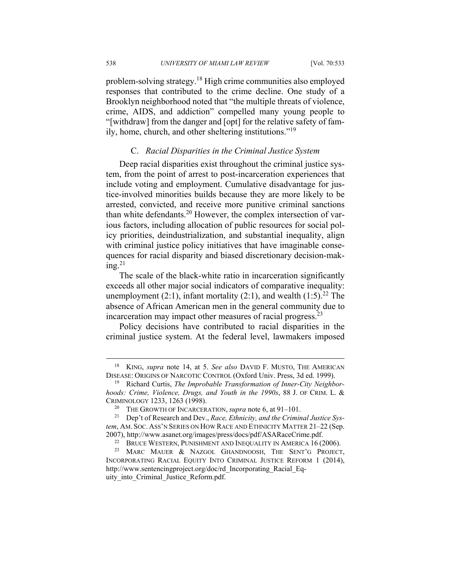problem-solving strategy.18 High crime communities also employed responses that contributed to the crime decline. One study of a Brooklyn neighborhood noted that "the multiple threats of violence, crime, AIDS, and addiction" compelled many young people to "[withdraw] from the danger and [opt] for the relative safety of family, home, church, and other sheltering institutions."19

#### C. *Racial Disparities in the Criminal Justice System*

Deep racial disparities exist throughout the criminal justice system, from the point of arrest to post-incarceration experiences that include voting and employment. Cumulative disadvantage for justice-involved minorities builds because they are more likely to be arrested, convicted, and receive more punitive criminal sanctions than white defendants.20 However, the complex intersection of various factors, including allocation of public resources for social policy priorities, deindustrialization, and substantial inequality, align with criminal justice policy initiatives that have imaginable consequences for racial disparity and biased discretionary decision-making. $^{21}$ 

The scale of the black-white ratio in incarceration significantly exceeds all other major social indicators of comparative inequality: unemployment (2:1), infant mortality (2:1), and wealth (1:5).<sup>22</sup> The absence of African American men in the general community due to incarceration may impact other measures of racial progress.<sup>23</sup>

Policy decisions have contributed to racial disparities in the criminal justice system. At the federal level, lawmakers imposed

 <sup>18</sup> KING, *supra* note 14, at 5. *See also* DAVID F. MUSTO, THE AMERICAN DISEASE: ORIGINS OF NARCOTIC CONTROL (Oxford Univ. Press, 3d ed. 1999). 19 Richard Curtis, *The Improbable Transformation of Inner-City Neighbor-*

*hoods: Crime, Violence, Drugs, and Youth in the 1990s*, 88 J. OF CRIM. L. & CRIMINOLOGY 1233, 1263 (1998). 20 THE GROWTH OF INCARCERATION, *supra* note 6, at 91–101. 21 Dep't of Research and Dev., *Race, Ethnicity, and the Criminal Justice Sys-*

*tem*, AM. SOC. ASS'N SERIES ON HOW RACE AND ETHNICITY MATTER 21–22 (Sep.

<sup>2007),</sup> http://www.asanet.org/images/press/docs/pdf/ASARaceCrime.pdf.<br><sup>22</sup> BRUCE WESTERN, PUNISHMENT AND INEQUALITY IN AMERICA 16 (2006).<br><sup>23</sup> MARC MAUER & NAZGOL GHANDNOOSH, THE SENT'G PROJECT, INCORPORATING RACIAL EQUITY INTO CRIMINAL JUSTICE REFORM 1 (2014), http://www.sentencingproject.org/doc/rd\_Incorporating\_Racial\_Equity\_into\_Criminal\_Justice\_Reform.pdf.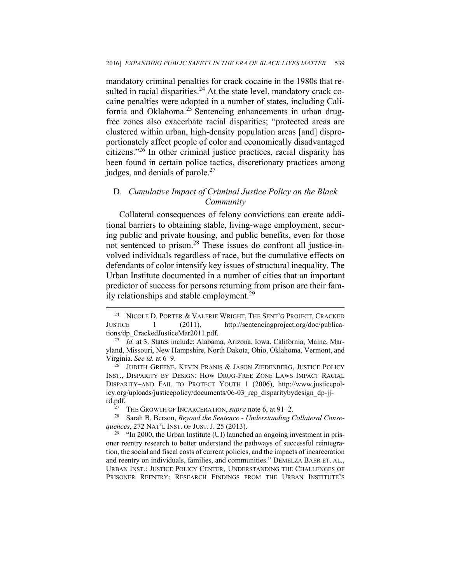mandatory criminal penalties for crack cocaine in the 1980s that resulted in racial disparities.<sup>24</sup> At the state level, mandatory crack cocaine penalties were adopted in a number of states, including California and Oklahoma.<sup>25</sup> Sentencing enhancements in urban drugfree zones also exacerbate racial disparities; "protected areas are clustered within urban, high-density population areas [and] disproportionately affect people of color and economically disadvantaged citizens."26 In other criminal justice practices, racial disparity has been found in certain police tactics, discretionary practices among judges, and denials of parole.<sup>27</sup>

#### D. *Cumulative Impact of Criminal Justice Policy on the Black Community*

Collateral consequences of felony convictions can create additional barriers to obtaining stable, living-wage employment, securing public and private housing, and public benefits, even for those not sentenced to prison.<sup>28</sup> These issues do confront all justice-involved individuals regardless of race, but the cumulative effects on defendants of color intensify key issues of structural inequality. The Urban Institute documented in a number of cities that an important predictor of success for persons returning from prison are their family relationships and stable employment.<sup>29</sup>

<sup>&</sup>lt;sup>24</sup> NICOLE D. PORTER & VALERIE WRIGHT, THE SENT'G PROJECT, CRACKED JUSTICE 1 (2011), http://sentencingproject.org/doc/publications/dp\_CrackedJusticeMar2011.pdf. 25 *Id.* at 3. States include: Alabama, Arizona, Iowa, California, Maine, Mar-

yland, Missouri, New Hampshire, North Dakota, Ohio, Oklahoma, Vermont, and Virginia. *See id.* at 6–9.<br><sup>26</sup> JUDITH GREENE, KEVIN PRANIS & JASON ZIEDENBERG, JUSTICE POLICY

INST., DISPARITY BY DESIGN: HOW DRUG-FREE ZONE LAWS IMPACT RACIAL DISPARITY–AND FAIL TO PROTECT YOUTH 1 (2006), http://www.justicepolicy.org/uploads/justicepolicy/documents/06-03\_rep\_disparitybydesign\_dp-jj-

rd.pdf. 27 THE GROWTH OF INCARCERATION, *supra* note 6, at 91–2. 28 Sarah B. Berson, *Beyond the Sentence - Understanding Collateral Consequences*, 272 NAT'L INST. OF JUST. J. 25 (2013).<br><sup>29</sup> "In 2000, the Urban Institute (UI) launched an ongoing investment in pris-

oner reentry research to better understand the pathways of successful reintegration, the social and fiscal costs of current policies, and the impacts of incarceration and reentry on individuals, families, and communities." DEMELZA BAER ET. AL., URBAN INST.: JUSTICE POLICY CENTER, UNDERSTANDING THE CHALLENGES OF PRISONER REENTRY: RESEARCH FINDINGS FROM THE URBAN INSTITUTE'S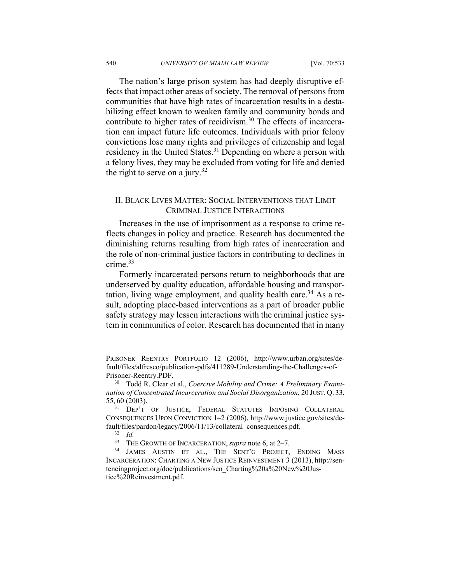The nation's large prison system has had deeply disruptive effects that impact other areas of society. The removal of persons from communities that have high rates of incarceration results in a destabilizing effect known to weaken family and community bonds and contribute to higher rates of recidivism.<sup>30</sup> The effects of incarceration can impact future life outcomes. Individuals with prior felony convictions lose many rights and privileges of citizenship and legal residency in the United States.<sup>31</sup> Depending on where a person with a felony lives, they may be excluded from voting for life and denied the right to serve on a jury.<sup>32</sup>

#### II. BLACK LIVES MATTER: SOCIAL INTERVENTIONS THAT LIMIT CRIMINAL JUSTICE INTERACTIONS

Increases in the use of imprisonment as a response to crime reflects changes in policy and practice. Research has documented the diminishing returns resulting from high rates of incarceration and the role of non-criminal justice factors in contributing to declines in crime.33

Formerly incarcerated persons return to neighborhoods that are underserved by quality education, affordable housing and transportation, living wage employment, and quality health care.<sup>34</sup> As a result, adopting place-based interventions as a part of broader public safety strategy may lessen interactions with the criminal justice system in communities of color. Research has documented that in many

 $\overline{a}$ 

PRISONER REENTRY PORTFOLIO 12 (2006), http://www.urban.org/sites/default/files/alfresco/publication-pdfs/411289-Understanding-the-Challenges-of-

Prisoner-Reentry.PDF. 30 Todd R. Clear et al., *Coercive Mobility and Crime: A Preliminary Examination of Concentrated Incarceration and Social Disorganization*, 20 JUST. Q. 33, 55, 60 (2003).

<sup>&</sup>lt;sup>31</sup> DEP'T OF JUSTICE, FEDERAL STATUTES IMPOSING COLLATERAL CONSEQUENCES UPON CONVICTION 1–2 (2006), http://www.justice.gov/sites/default/files/pardon/legacy/2006/11/13/collateral\_consequences.pdf.<br><sup>32</sup> *Id.* THE GROWTH OF INCARCERATION, *supra* note 6, at 2–7.

<sup>&</sup>lt;sup>34</sup> JAMES AUSTIN ET AL., THE SENT'G PROJECT, ENDING MASS INCARCERATION: CHARTING A NEW JUSTICE REINVESTMENT 3 (2013), http://sentencingproject.org/doc/publications/sen\_Charting%20a%20New%20Justice%20Reinvestment.pdf.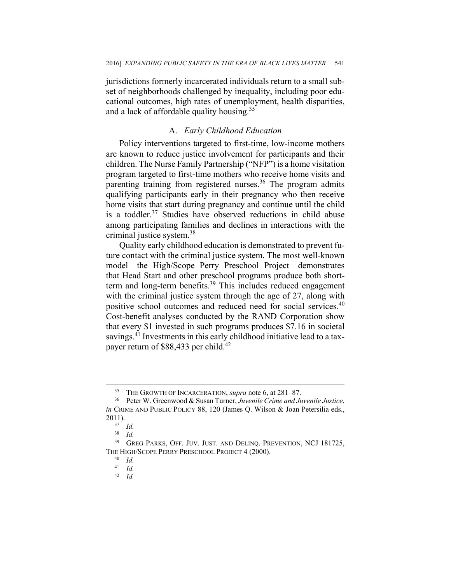jurisdictions formerly incarcerated individuals return to a small subset of neighborhoods challenged by inequality, including poor educational outcomes, high rates of unemployment, health disparities, and a lack of affordable quality housing.<sup>35</sup>

#### A. *Early Childhood Education*

Policy interventions targeted to first-time, low-income mothers are known to reduce justice involvement for participants and their children. The Nurse Family Partnership ("NFP") is a home visitation program targeted to first-time mothers who receive home visits and parenting training from registered nurses.<sup>36</sup> The program admits qualifying participants early in their pregnancy who then receive home visits that start during pregnancy and continue until the child is a toddler. $37$  Studies have observed reductions in child abuse among participating families and declines in interactions with the criminal justice system.<sup>38</sup>

Quality early childhood education is demonstrated to prevent future contact with the criminal justice system. The most well-known model—the High/Scope Perry Preschool Project—demonstrates that Head Start and other preschool programs produce both shortterm and long-term benefits.<sup>39</sup> This includes reduced engagement with the criminal justice system through the age of 27, along with positive school outcomes and reduced need for social services.<sup>40</sup> Cost-benefit analyses conducted by the RAND Corporation show that every \$1 invested in such programs produces \$7.16 in societal savings.<sup>41</sup> Investments in this early childhood initiative lead to a taxpayer return of \$88,433 per child.<sup>42</sup>

42 *Id.* 

 <sup>35</sup> THE GROWTH OF INCARCERATION, *supra* note 6, at 281–87. 36 Peter W. Greenwood & Susan Turner, *Juvenile Crime and Juvenile Justice*, *in* CRIME AND PUBLIC POLICY 88, 120 (James Q. Wilson & Joan Petersilia eds.,  $2011$ ).<br> $\frac{37}{10}$ *Id.* 

<sup>38</sup> *Id.*

<sup>&</sup>lt;sup>39</sup> GREG PARKS, OFF. JUV. JUST. AND DELINO. PREVENTION, NCJ 181725, THE HIGH/SCOPE PERRY PRESCHOOL PROJECT 4 (2000). 40 *Id.*

<sup>41</sup> *Id.*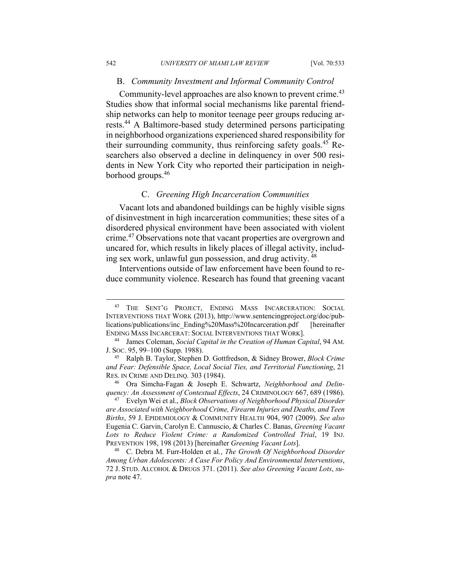#### B. *Community Investment and Informal Community Control*

Community-level approaches are also known to prevent crime.<sup>43</sup> Studies show that informal social mechanisms like parental friendship networks can help to monitor teenage peer groups reducing arrests.44 A Baltimore-based study determined persons participating in neighborhood organizations experienced shared responsibility for their surrounding community, thus reinforcing safety goals.45 Researchers also observed a decline in delinquency in over 500 residents in New York City who reported their participation in neighborhood groups.<sup>46</sup>

#### C. *Greening High Incarceration Communities*

Vacant lots and abandoned buildings can be highly visible signs of disinvestment in high incarceration communities; these sites of a disordered physical environment have been associated with violent crime.<sup>47</sup> Observations note that vacant properties are overgrown and uncared for, which results in likely places of illegal activity, including sex work, unlawful gun possession, and drug activity. 48

Interventions outside of law enforcement have been found to reduce community violence. Research has found that greening vacant

 <sup>43</sup> THE SENT'G PROJECT, ENDING MASS INCARCERATION: SOCIAL INTERVENTIONS THAT WORK (2013), http://www.sentencingproject.org/doc/publications/publications/inc\_Ending%20Mass%20Incarceration.pdf [hereinafter] ENDING MASS INCARCERAT: SOCIAL INTERVENTIONS THAT WORK]. 44 James Coleman, *Social Capital in the Creation of Human Capital*, 94 AM.

J. SOC. 95, 99–100 (Supp. 1988). 45 Ralph B. Taylor, Stephen D. Gottfredson, & Sidney Brower, *Block Crime* 

*and Fear: Defensible Space, Local Social Ties, and Territorial Functioning*, 21 RES. IN CRIME AND DELINQ*.* 303 (1984). 46 Ora Simcha-Fagan & Joseph E. Schwartz, *Neighborhood and Delin-*

*quency: An Assessment of Contextual Effects*, 24 CRIMINOLOGY 667, 689 (1986). 47 Evelyn Wei et al., *Block Observations of Neighborhood Physical Disorder* 

*are Associated with Neighborhood Crime, Firearm Injuries and Deaths, and Teen Births*, 59 J. EPIDEMIOLOGY & COMMUNITY HEALTH 904, 907 (2009). *See also* Eugenia C. Garvin, Carolyn E. Cannuscio, & Charles C. Banas, *Greening Vacant Lots to Reduce Violent Crime: a Randomized Controlled Trial*, 19 INJ.

PREVENTION 198, 198 (2013) [hereinafter *Greening Vacant Lots*]. 48 C. Debra M. Furr-Holden et al*.*, *The Growth Of Neighborhood Disorder Among Urban Adolescents: A Case For Policy And Environmental Interventions*, 72 J. STUD. ALCOHOL & DRUGS 371. (2011). *See also Greening Vacant Lots*, *supra* note 47.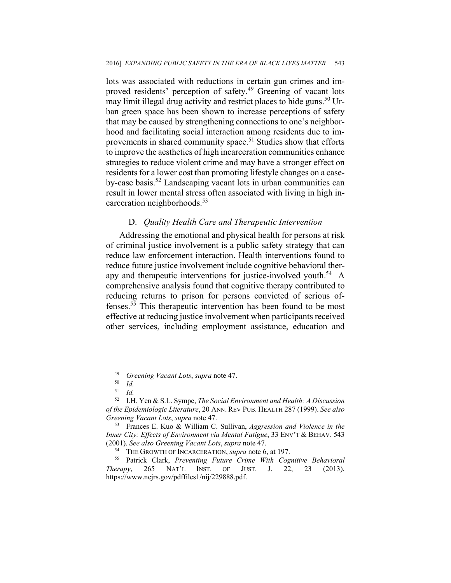lots was associated with reductions in certain gun crimes and improved residents' perception of safety.49 Greening of vacant lots may limit illegal drug activity and restrict places to hide guns.<sup>50</sup> Urban green space has been shown to increase perceptions of safety that may be caused by strengthening connections to one's neighborhood and facilitating social interaction among residents due to improvements in shared community space.<sup>51</sup> Studies show that efforts to improve the aesthetics of high incarceration communities enhance strategies to reduce violent crime and may have a stronger effect on residents for a lower cost than promoting lifestyle changes on a caseby-case basis.52 Landscaping vacant lots in urban communities can result in lower mental stress often associated with living in high incarceration neighborhoods.53

#### D. *Quality Health Care and Therapeutic Intervention*

Addressing the emotional and physical health for persons at risk of criminal justice involvement is a public safety strategy that can reduce law enforcement interaction. Health interventions found to reduce future justice involvement include cognitive behavioral therapy and therapeutic interventions for justice-involved youth.<sup>54</sup> A comprehensive analysis found that cognitive therapy contributed to reducing returns to prison for persons convicted of serious offenses.55 This therapeutic intervention has been found to be most effective at reducing justice involvement when participants received other services, including employment assistance, education and

<sup>49</sup> *Greening Vacant Lots*, *supra* note 47. 50 *Id.*

<sup>51</sup> *Id.*

<sup>52</sup> I.H. Yen & S.L. Sympe, *The Social Environment and Health: A Discussion of the Epidemiologic Literature*, 20 ANN. REV PUB. HEALTH 287 (1999). *See also Greening Vacant Lots*, *supra* note 47. 53 Frances E. Kuo & William C. Sullivan, *Aggression and Violence in the* 

*Inner City: Effects of Environment via Mental Fatigue*, 33 ENV'T & BEHAV*.* 543

<sup>(2001).</sup> *See also Greening Vacant Lots*, *supra* note 47. 54 THE GROWTH OF INCARCERATION, *supra* note 6, at 197. 55 Patrick Clark, *Preventing Future Crime With Cognitive Behavioral Therapy*, 265 NAT'L INST. OF JUST. J. 22, 23 (2013), https://www.ncjrs.gov/pdffiles1/nij/229888.pdf.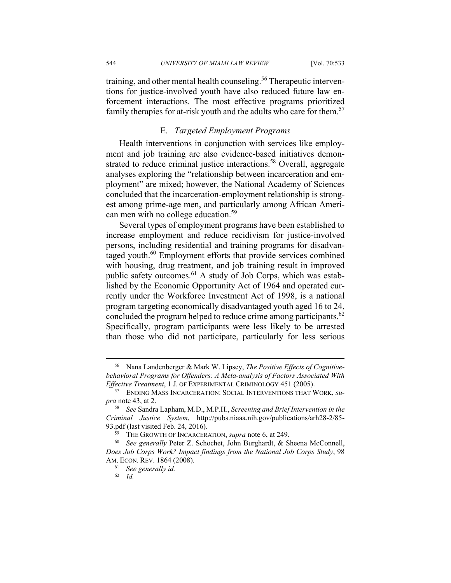544 *UNIVERSITY OF MIAMI LAW REVIEW* [Vol. 70:533

training, and other mental health counseling.<sup>56</sup> Therapeutic interventions for justice-involved youth have also reduced future law enforcement interactions. The most effective programs prioritized family therapies for at-risk youth and the adults who care for them.<sup>57</sup>

#### E. *Targeted Employment Programs*

Health interventions in conjunction with services like employment and job training are also evidence-based initiatives demonstrated to reduce criminal justice interactions.<sup>58</sup> Overall, aggregate analyses exploring the "relationship between incarceration and employment" are mixed; however, the National Academy of Sciences concluded that the incarceration-employment relationship is strongest among prime-age men, and particularly among African American men with no college education.<sup>59</sup>

Several types of employment programs have been established to increase employment and reduce recidivism for justice-involved persons, including residential and training programs for disadvantaged youth.<sup>60</sup> Employment efforts that provide services combined with housing, drug treatment, and job training result in improved public safety outcomes.<sup>61</sup> A study of Job Corps, which was established by the Economic Opportunity Act of 1964 and operated currently under the Workforce Investment Act of 1998, is a national program targeting economically disadvantaged youth aged 16 to 24, concluded the program helped to reduce crime among participants.<sup>62</sup> Specifically, program participants were less likely to be arrested than those who did not participate, particularly for less serious

 <sup>56</sup> Nana Landenberger & Mark W. Lipsey, *The Positive Effects of Cognitivebehavioral Programs for Offenders: A Meta-analysis of Factors Associated With Effective Treatment*, 1 J. OF EXPERIMENTAL CRIMINOLOGY 451 (2005).<br><sup>57</sup> ENDING MASS INCARCERATION: SOCIAL INTERVENTIONS THAT WORK, *su*-

*pra* note 43, at 2.

<sup>58</sup> *See* Sandra Lapham, M.D., M.P.H., *Screening and Brief Intervention in the Criminal Justice System*, http://pubs.niaaa.nih.gov/publications/arh28-2/85- 93.pdf (last visited Feb. 24, 2016).<br><sup>59</sup> THE GROWTH OF INCARCERATION, *supra* note 6, at 249.<br><sup>60</sup> *See generally* Peter Z. Schochet, John Burghardt, & Sheena McConnell,

*Does Job Corps Work? Impact findings from the National Job Corps Study*, 98 AM. ECON. REV. 1864 (2008). 61 *See generally id.* 

<sup>62</sup> *Id.*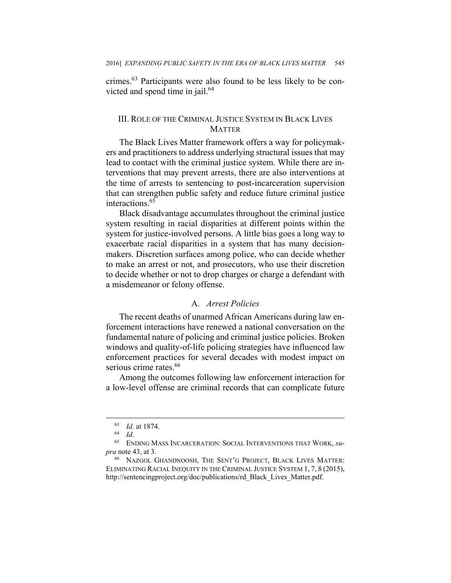crimes.63 Participants were also found to be less likely to be convicted and spend time in jail.<sup>64</sup>

#### III. ROLE OF THE CRIMINAL JUSTICE SYSTEM IN BLACK LIVES **MATTER**

The Black Lives Matter framework offers a way for policymakers and practitioners to address underlying structural issues that may lead to contact with the criminal justice system. While there are interventions that may prevent arrests, there are also interventions at the time of arrests to sentencing to post-incarceration supervision that can strengthen public safety and reduce future criminal justice interactions.<sup>65</sup>

Black disadvantage accumulates throughout the criminal justice system resulting in racial disparities at different points within the system for justice-involved persons. A little bias goes a long way to exacerbate racial disparities in a system that has many decisionmakers. Discretion surfaces among police, who can decide whether to make an arrest or not, and prosecutors, who use their discretion to decide whether or not to drop charges or charge a defendant with a misdemeanor or felony offense.

#### A. *Arrest Policies*

The recent deaths of unarmed African Americans during law enforcement interactions have renewed a national conversation on the fundamental nature of policing and criminal justice policies. Broken windows and quality-of-life policing strategies have influenced law enforcement practices for several decades with modest impact on serious crime rates.<sup>66</sup>

Among the outcomes following law enforcement interaction for a low-level offense are criminal records that can complicate future

<sup>63</sup> *Id.* at 1874. 64 *Id.*

<sup>65</sup> ENDING MASS INCARCERATION: SOCIAL INTERVENTIONS THAT WORK, *supra* note 43, at 3.

<sup>66</sup> NAZGOL GHANDNOOSH, THE SENT'G PROJECT, BLACK LIVES MATTER: ELIMINATING RACIAL INEQUITY IN THE CRIMINAL JUSTICE SYSTEM 1, 7, 8 (2015), http://sentencingproject.org/doc/publications/rd\_Black\_Lives\_Matter.pdf.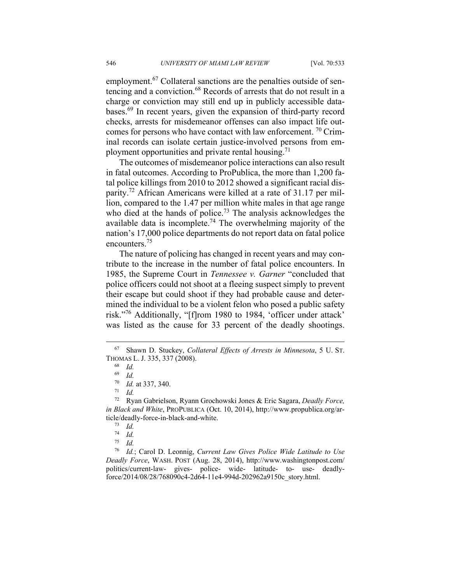employment.<sup>67</sup> Collateral sanctions are the penalties outside of sentencing and a conviction.<sup>68</sup> Records of arrests that do not result in a charge or conviction may still end up in publicly accessible databases.69 In recent years, given the expansion of third-party record checks, arrests for misdemeanor offenses can also impact life outcomes for persons who have contact with law enforcement.  $\frac{70}{10}$  Criminal records can isolate certain justice-involved persons from employment opportunities and private rental housing.<sup>71</sup>

The outcomes of misdemeanor police interactions can also result in fatal outcomes. According to ProPublica, the more than 1,200 fatal police killings from 2010 to 2012 showed a significant racial disparity.72 African Americans were killed at a rate of 31.17 per million, compared to the 1.47 per million white males in that age range who died at the hands of police.<sup>73</sup> The analysis acknowledges the available data is incomplete.<sup>74</sup> The overwhelming majority of the nation's 17,000 police departments do not report data on fatal police encounters.75

The nature of policing has changed in recent years and may contribute to the increase in the number of fatal police encounters. In 1985, the Supreme Court in *Tennessee v. Garner* "concluded that police officers could not shoot at a fleeing suspect simply to prevent their escape but could shoot if they had probable cause and determined the individual to be a violent felon who posed a public safety risk."76 Additionally, "[f]rom 1980 to 1984, 'officer under attack' was listed as the cause for 33 percent of the deadly shootings.

<sup>76</sup> *Id.*; Carol D. Leonnig, *Current Law Gives Police Wide Latitude to Use Deadly Force*, WASH. POST (Aug. 28, 2014), http://www.washingtonpost.com/ politics/current-law- gives- police- wide- latitude- to- use- deadlyforce/2014/08/28/768090c4-2d64-11e4-994d-202962a9150c\_story.html.

 <sup>67</sup> Shawn D. Stuckey, *Collateral Effects of Arrests in Minnesota*, 5 U. ST. THOMAS L. J. 335, 337 (2008). 68 *Id.*

 $\frac{69}{70}$  *Id.* 

<sup>70</sup> *Id.* at 337, 340. 71 *Id.*

<sup>72</sup> Ryan Gabrielson, Ryann Grochowski Jones & Eric Sagara, *Deadly Force, in Black and White*, PROPUBLICA (Oct. 10, 2014), http://www.propublica.org/article/deadly-force-in-black-and-white. 73 *Id.*

 $\frac{74}{75}$  *Id.* 

<sup>75</sup> *Id.*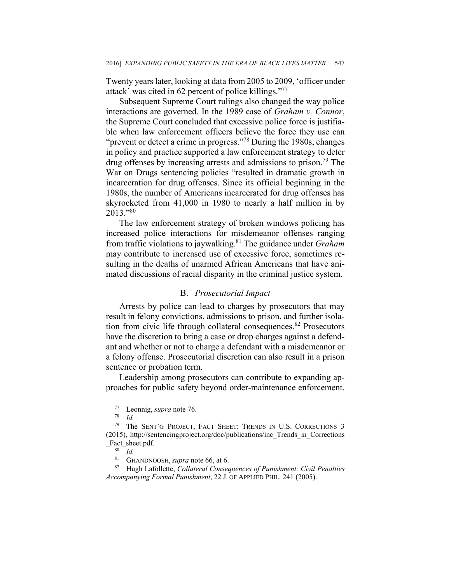Twenty years later, looking at data from 2005 to 2009, 'officer under attack' was cited in 62 percent of police killings."77

Subsequent Supreme Court rulings also changed the way police interactions are governed. In the 1989 case of *Graham v. Connor*, the Supreme Court concluded that excessive police force is justifiable when law enforcement officers believe the force they use can "prevent or detect a crime in progress."78 During the 1980s, changes in policy and practice supported a law enforcement strategy to deter drug offenses by increasing arrests and admissions to prison.<sup>79</sup> The War on Drugs sentencing policies "resulted in dramatic growth in incarceration for drug offenses. Since its official beginning in the 1980s, the number of Americans incarcerated for drug offenses has skyrocketed from 41,000 in 1980 to nearly a half million in by 2013."<sup>80</sup>

The law enforcement strategy of broken windows policing has increased police interactions for misdemeanor offenses ranging from traffic violations to jaywalking.81 The guidance under *Graham* may contribute to increased use of excessive force, sometimes resulting in the deaths of unarmed African Americans that have animated discussions of racial disparity in the criminal justice system.

#### B. *Prosecutorial Impact*

Arrests by police can lead to charges by prosecutors that may result in felony convictions, admissions to prison, and further isolation from civic life through collateral consequences.<sup>82</sup> Prosecutors have the discretion to bring a case or drop charges against a defendant and whether or not to charge a defendant with a misdemeanor or a felony offense. Prosecutorial discretion can also result in a prison sentence or probation term.

Leadership among prosecutors can contribute to expanding approaches for public safety beyond order-maintenance enforcement.

 <sup>77</sup> Leonnig, *supra* note 76. 78 *Id.*

<sup>79</sup> The SENT'G PROJECT, FACT SHEET: TRENDS IN U.S. CORRECTIONS 3 (2015), http://sentencingproject.org/doc/publications/inc\_Trends\_in\_Corrections  $\frac{\text{Fact\_sheet.pdf}}{80 \frac{I}{d}}$ .

<sup>&</sup>lt;sup>81</sup> GHANDNOOSH, *supra* note 66, at 6.<br><sup>82</sup> Hugh Lafollette, *Collateral Consequences of Punishment: Civil Penalties Accompanying Formal Punishment*, 22 J. OF APPLIED PHIL. 241 (2005).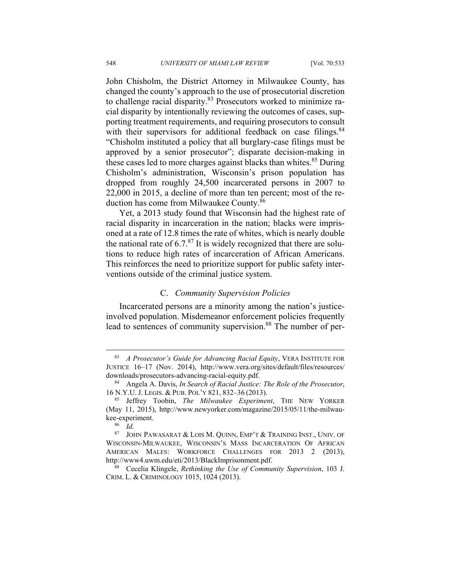John Chisholm, the District Attorney in Milwaukee County, has changed the county's approach to the use of prosecutorial discretion to challenge racial disparity.<sup>83</sup> Prosecutors worked to minimize racial disparity by intentionally reviewing the outcomes of cases, supporting treatment requirements, and requiring prosecutors to consult with their supervisors for additional feedback on case filings.<sup>84</sup> "Chisholm instituted a policy that all burglary-case filings must be approved by a senior prosecutor"; disparate decision-making in these cases led to more charges against blacks than whites.<sup>85</sup> During Chisholm's administration, Wisconsin's prison population has dropped from roughly 24,500 incarcerated persons in 2007 to 22,000 in 2015, a decline of more than ten percent; most of the reduction has come from Milwaukee County.86

Yet, a 2013 study found that Wisconsin had the highest rate of racial disparity in incarceration in the nation; blacks were imprisoned at a rate of 12.8 times the rate of whites, which is nearly double the national rate of  $6.7<sup>87</sup>$  It is widely recognized that there are solutions to reduce high rates of incarceration of African Americans. This reinforces the need to prioritize support for public safety interventions outside of the criminal justice system.

#### C. *Community Supervision Policies*

Incarcerated persons are a minority among the nation's justiceinvolved population. Misdemeanor enforcement policies frequently lead to sentences of community supervision.<sup>88</sup> The number of per-

 <sup>83</sup> *A Prosecutor's Guide for Advancing Racial Equity*, VERA INSTITUTE FOR JUSTICE 16–17 (Nov. 2014), http://www.vera.org/sites/default/files/resources/ downloads/prosecutors-advancing-racial-equity.pdf. 84 Angela A. Davis, *In Search of Racial Justice: The Role of the Prosecutor*,

<sup>16</sup> N.Y.U. J. LEGIS. & PUB. POL'Y 821, 832–36 (2013). 85 Jeffrey Toobin, *The Milwaukee Experiment*, THE NEW YORKER

<sup>(</sup>May 11, 2015), http://www.newyorker.com/magazine/2015/05/11/the-milwaukee-experiment.<br><sup>86</sup> *Id.*<br><sup>87</sup> IOHN PAN

JOHN PAWASARAT & LOIS M. QUINN, EMP'T & TRAINING INST., UNIV. OF WISCONSIN-MILWAUKEE, WISCONSIN'S MASS INCARCERATION OF AFRICAN AMERICAN MALES: WORKFORCE CHALLENGES FOR 2013 2 (2013), http://www4.uwm.edu/eti/2013/BlackImprisonment.pdf. 88 Cecelia Klingele, *Rethinking the Use of Community Supervision*, 103 J.

CRIM. L. & CRIMINOLOGY 1015, 1024 (2013).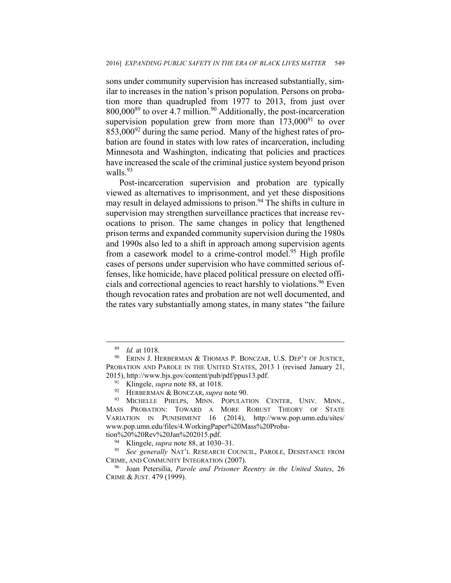sons under community supervision has increased substantially, similar to increases in the nation's prison population. Persons on probation more than quadrupled from 1977 to 2013, from just over  $800,000^{89}$  to over 4.7 million.<sup>90</sup> Additionally, the post-incarceration supervision population grew from more than  $173,000^{91}$  to over  $853,000^{92}$  during the same period. Many of the highest rates of probation are found in states with low rates of incarceration, including Minnesota and Washington, indicating that policies and practices have increased the scale of the criminal justice system beyond prison walls.<sup>93</sup>

Post-incarceration supervision and probation are typically viewed as alternatives to imprisonment, and yet these dispositions may result in delayed admissions to prison.<sup>94</sup> The shifts in culture in supervision may strengthen surveillance practices that increase revocations to prison. The same changes in policy that lengthened prison terms and expanded community supervision during the 1980s and 1990s also led to a shift in approach among supervision agents from a casework model to a crime-control model.<sup>95</sup> High profile cases of persons under supervision who have committed serious offenses, like homicide, have placed political pressure on elected officials and correctional agencies to react harshly to violations.<sup>96</sup> Even though revocation rates and probation are not well documented, and the rates vary substantially among states, in many states "the failure

<sup>&</sup>lt;sup>89</sup> *Id.* at 1018.<br><sup>90</sup> ERINN J. HERBERMAN & THOMAS P. BONCZAR, U.S. DEP'T OF JUSTICE, PROBATION AND PAROLE IN THE UNITED STATES, 2013 1 (revised January 21, 2015), http://www.bjs.gov/content/pub/pdf/ppus13.pdf. 91 Klingele, *supra* note 88, at 1018. 92 HERBERMAN & BONCZAR, *supra* note 90.

<sup>93</sup> MICHELLE PHELPS, MINN. POPULATION CENTER, UNIV. MINN., MASS PROBATION: TOWARD A MORE ROBUST THEORY OF STATE VARIATION IN PUNISHMENT 16 (2014), http://www.pop.umn.edu/sites/ www.pop.umn.edu/files/4.WorkingPaper%20Mass%20Proba-

tion%20%20Rev%20Jan%202015.pdf.<br><sup>94</sup> Klingele, *supra* note 88, at 1030–31.<br><sup>95</sup> See generally NAT'L RESEARCH COUNCIL, PAROLE, DESISTANCE FROM CRIME, AND COMMUNITY INTEGRATION (2007).

<sup>96</sup> Joan Petersilia, *Parole and Prisoner Reentry in the United States*, 26 CRIME & JUST. 479 (1999).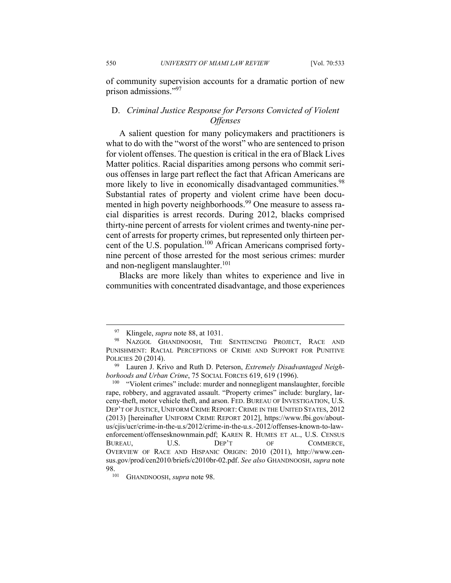550 *UNIVERSITY OF MIAMI LAW REVIEW* [Vol. 70:533

of community supervision accounts for a dramatic portion of new prison admissions."97

#### D. *Criminal Justice Response for Persons Convicted of Violent Offenses*

A salient question for many policymakers and practitioners is what to do with the "worst of the worst" who are sentenced to prison for violent offenses. The question is critical in the era of Black Lives Matter politics. Racial disparities among persons who commit serious offenses in large part reflect the fact that African Americans are more likely to live in economically disadvantaged communities.<sup>98</sup> Substantial rates of property and violent crime have been documented in high poverty neighborhoods.<sup>99</sup> One measure to assess racial disparities is arrest records. During 2012, blacks comprised thirty-nine percent of arrests for violent crimes and twenty-nine percent of arrests for property crimes, but represented only thirteen percent of the U.S. population.<sup>100</sup> African Americans comprised fortynine percent of those arrested for the most serious crimes: murder and non-negligent manslaughter.<sup>101</sup>

Blacks are more likely than whites to experience and live in communities with concentrated disadvantage, and those experiences

<sup>&</sup>lt;sup>97</sup> Klingele, *supra* note 88, at 1031.<br><sup>98</sup> NAZGOL GHANDNOOSH, THE SENTENCING PROJECT, RACE AND PUNISHMENT: RACIAL PERCEPTIONS OF CRIME AND SUPPORT FOR PUNITIVE POLICIES 20 (2014). 99 Lauren J. Krivo and Ruth D. Peterson, *Extremely Disadvantaged Neigh-*

*borhoods and Urban Crime*, 75 SOCIAL FORCES 619, 619 (1996).<br><sup>100</sup> "Violent crimes" include: murder and nonnegligent manslaughter, forcible

rape, robbery, and aggravated assault. "Property crimes" include: burglary, larceny-theft, motor vehicle theft, and arson. FED. BUREAU OF INVESTIGATION, U.S. DEP'T OF JUSTICE, UNIFORM CRIME REPORT: CRIME IN THE UNITED STATES, 2012 (2013) [hereinafter UNIFORM CRIME REPORT 2012], https://www.fbi.gov/aboutus/cjis/ucr/crime-in-the-u.s/2012/crime-in-the-u.s.-2012/offenses-known-to-lawenforcement/offensesknownmain.pdf; KAREN R. HUMES ET AL., U.S. CENSUS BUREAU, U.S. DEP'T OF COMMERCE, OVERVIEW OF RACE AND HISPANIC ORIGIN: 2010 (2011), http://www.census.gov/prod/cen2010/briefs/c2010br-02.pdf. *See also* GHANDNOOSH, *supra* note

<sup>98. 101</sup> GHANDNOOSH, *supra* note 98.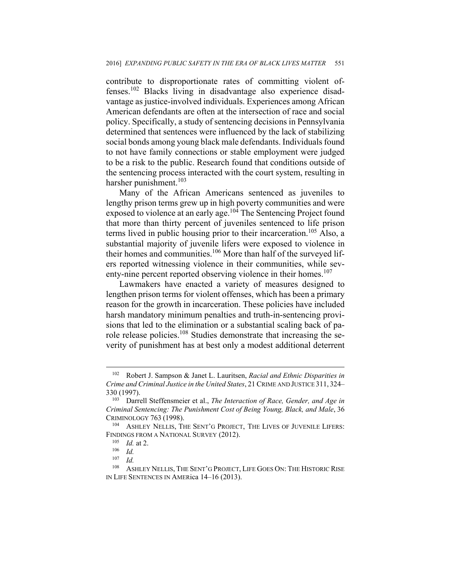contribute to disproportionate rates of committing violent offenses.102 Blacks living in disadvantage also experience disadvantage as justice-involved individuals. Experiences among African American defendants are often at the intersection of race and social policy. Specifically, a study of sentencing decisions in Pennsylvania determined that sentences were influenced by the lack of stabilizing social bonds among young black male defendants. Individuals found to not have family connections or stable employment were judged to be a risk to the public. Research found that conditions outside of the sentencing process interacted with the court system, resulting in harsher punishment.<sup>103</sup>

Many of the African Americans sentenced as juveniles to lengthy prison terms grew up in high poverty communities and were exposed to violence at an early age.<sup>104</sup> The Sentencing Project found that more than thirty percent of juveniles sentenced to life prison terms lived in public housing prior to their incarceration.<sup>105</sup> Also, a substantial majority of juvenile lifers were exposed to violence in their homes and communities.<sup>106</sup> More than half of the surveyed lifers reported witnessing violence in their communities, while seventy-nine percent reported observing violence in their homes.<sup>107</sup>

Lawmakers have enacted a variety of measures designed to lengthen prison terms for violent offenses, which has been a primary reason for the growth in incarceration. These policies have included harsh mandatory minimum penalties and truth-in-sentencing provisions that led to the elimination or a substantial scaling back of parole release policies.108 Studies demonstrate that increasing the severity of punishment has at best only a modest additional deterrent

 $\overline{a}$ 

<sup>102</sup> Robert J. Sampson & Janet L. Lauritsen, *Racial and Ethnic Disparities in Crime and Criminal Justice in the United States*, 21 CRIME AND JUSTICE 311, 324– 330 (1997).<br><sup>103</sup> Darrell Steffensmeier et al., *The Interaction of Race, Gender, and Age in* 

*Criminal Sentencing: The Punishment Cost of Being Young, Black, and Male*, 36 CRIMINOLOGY 763 (1998). 104 ASHLEY NELLIS, THE SENT'G PROJECT, THE LIVES OF JUVENILE LIFERS:

FINDINGS FROM A NATIONAL SURVEY (2012).<br><sup>105</sup> *Id.* at 2.<br><sup>106</sup> *Id.*<br><sup>107</sup> *Id.* 

<sup>107</sup> *Id.*

<sup>&</sup>lt;sup>108</sup> ASHLEY NELLIS, THE SENT'G PROJECT, LIFE GOES ON: THE HISTORIC RISE IN LIFE SENTENCES IN AMERica 14–16 (2013).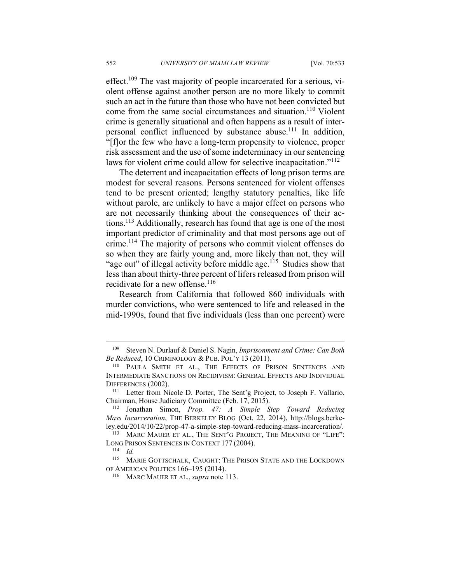effect.<sup>109</sup> The vast majority of people incarcerated for a serious, violent offense against another person are no more likely to commit such an act in the future than those who have not been convicted but come from the same social circumstances and situation.<sup>110</sup> Violent crime is generally situational and often happens as a result of interpersonal conflict influenced by substance abuse.111 In addition, "[f]or the few who have a long-term propensity to violence, proper risk assessment and the use of some indeterminacy in our sentencing laws for violent crime could allow for selective incapacitation."<sup>112</sup>

The deterrent and incapacitation effects of long prison terms are modest for several reasons. Persons sentenced for violent offenses tend to be present oriented; lengthy statutory penalties, like life without parole, are unlikely to have a major effect on persons who are not necessarily thinking about the consequences of their actions.113 Additionally, research has found that age is one of the most important predictor of criminality and that most persons age out of crime.114 The majority of persons who commit violent offenses do so when they are fairly young and, more likely than not, they will "age out" of illegal activity before middle age.<sup>115</sup> Studies show that less than about thirty-three percent of lifers released from prison will recidivate for a new offense.<sup>116</sup>

Research from California that followed 860 individuals with murder convictions, who were sentenced to life and released in the mid-1990s, found that five individuals (less than one percent) were

 $\overline{a}$ 

<sup>109</sup> Steven N. Durlauf & Daniel S. Nagin, *Imprisonment and Crime: Can Both* 

<sup>&</sup>lt;sup>110</sup> PAULA SMITH ET AL., THE EFFECTS OF PRISON SENTENCES AND INTERMEDIATE SANCTIONS ON RECIDIVISM: GENERAL EFFECTS AND INDIVIDUAL DIFFERENCES (2002).<br><sup>111</sup> Letter from Nicole D. Porter, The Sent'g Project, to Joseph F. Vallario,

Chairman, House Judiciary Committee (Feb. 17, 2015). 112 Jonathan Simon, *Prop. 47: A Simple Step Toward Reducing* 

*Mass Incarceration*, THE BERKELEY BLOG (Oct. 22, 2014), http://blogs.berkeley.edu/2014/10/22/prop-47-a-simple-step-toward-reducing-mass-incarceration/. 113 MARC MAUER ET AL., THE SENT'G PROJECT, THE MEANING OF "LIFE":

LONG PRISON SENTENCES IN CONTEXT 177 (2004).<br><sup>114</sup> *Id.*<br><sup>115</sup> MARIE GOTTSCHALK, CAUGHT: THE PRISON

MARIE GOTTSCHALK, CAUGHT: THE PRISON STATE AND THE LOCKDOWN OF AMERICAN POLITICS 166–195 (2014). 116 MARC MAUER ET AL., *supra* note 113.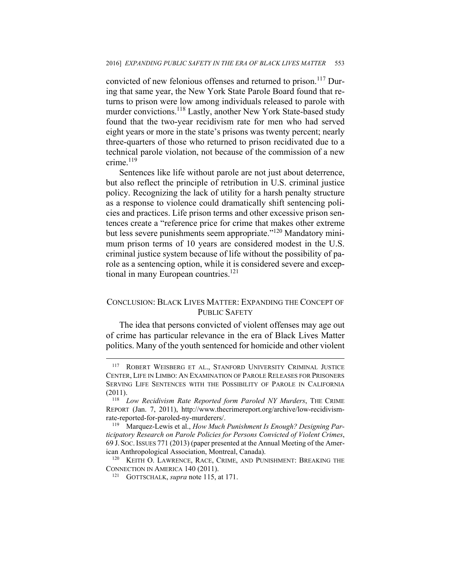convicted of new felonious offenses and returned to prison.<sup>117</sup> During that same year, the New York State Parole Board found that returns to prison were low among individuals released to parole with murder convictions.<sup>118</sup> Lastly, another New York State-based study found that the two-year recidivism rate for men who had served eight years or more in the state's prisons was twenty percent; nearly three-quarters of those who returned to prison recidivated due to a technical parole violation, not because of the commission of a new crime.<sup>119</sup>

Sentences like life without parole are not just about deterrence, but also reflect the principle of retribution in U.S. criminal justice policy. Recognizing the lack of utility for a harsh penalty structure as a response to violence could dramatically shift sentencing policies and practices. Life prison terms and other excessive prison sentences create a "reference price for crime that makes other extreme but less severe punishments seem appropriate."120 Mandatory minimum prison terms of 10 years are considered modest in the U.S. criminal justice system because of life without the possibility of parole as a sentencing option, while it is considered severe and exceptional in many European countries.<sup>121</sup>

#### CONCLUSION: BLACK LIVES MATTER: EXPANDING THE CONCEPT OF PUBLIC SAFETY

The idea that persons convicted of violent offenses may age out of crime has particular relevance in the era of Black Lives Matter politics. Many of the youth sentenced for homicide and other violent

1

<sup>&</sup>lt;sup>117</sup> ROBERT WEISBERG ET AL., STANFORD UNIVERSITY CRIMINAL JUSTICE CENTER, LIFE IN LIMBO: AN EXAMINATION OF PAROLE RELEASES FOR PRISONERS SERVING LIFE SENTENCES WITH THE POSSIBILITY OF PAROLE IN CALIFORNIA (2011). 118 *Low Recidivism Rate Reported form Paroled NY Murders*, THE CRIME

REPORT (Jan. 7, 2011), http://www.thecrimereport.org/archive/low-recidivismrate-reported-for-paroled-ny-murderers/. 119 Marquez-Lewis et al., *How Much Punishment Is Enough? Designing Par-*

*ticipatory Research on Parole Policies for Persons Convicted of Violent Crimes*, 69 J. SOC.ISSUES 771 (2013) (paper presented at the Annual Meeting of the Amer-

ican Anthropological Association, Montreal, Canada). <sup>120</sup> KEITH O. LAWRENCE, RACE, CRIME, AND PUNISHMENT: BREAKING THE CONNECTION IN AMERICA 140 (2011).<br><sup>121</sup> GOTTSCHALK, *supra* note 115, at 171.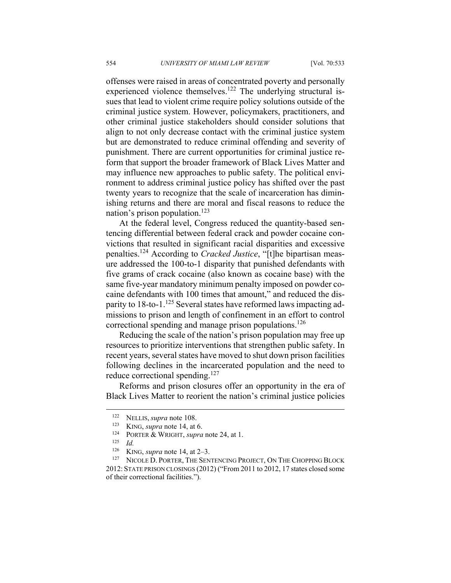offenses were raised in areas of concentrated poverty and personally experienced violence themselves.<sup>122</sup> The underlying structural issues that lead to violent crime require policy solutions outside of the criminal justice system. However, policymakers, practitioners, and other criminal justice stakeholders should consider solutions that align to not only decrease contact with the criminal justice system but are demonstrated to reduce criminal offending and severity of punishment. There are current opportunities for criminal justice reform that support the broader framework of Black Lives Matter and may influence new approaches to public safety. The political environment to address criminal justice policy has shifted over the past twenty years to recognize that the scale of incarceration has diminishing returns and there are moral and fiscal reasons to reduce the nation's prison population.<sup>123</sup>

At the federal level, Congress reduced the quantity-based sentencing differential between federal crack and powder cocaine convictions that resulted in significant racial disparities and excessive penalties.124 According to *Cracked Justice*, "[t]he bipartisan measure addressed the 100-to-1 disparity that punished defendants with five grams of crack cocaine (also known as cocaine base) with the same five-year mandatory minimum penalty imposed on powder cocaine defendants with 100 times that amount," and reduced the disparity to  $18$ -to-1.<sup>125</sup> Several states have reformed laws impacting admissions to prison and length of confinement in an effort to control correctional spending and manage prison populations.<sup>126</sup>

Reducing the scale of the nation's prison population may free up resources to prioritize interventions that strengthen public safety. In recent years, several states have moved to shut down prison facilities following declines in the incarcerated population and the need to reduce correctional spending.<sup>127</sup>

Reforms and prison closures offer an opportunity in the era of Black Lives Matter to reorient the nation's criminal justice policies

 $\overline{a}$ 

<sup>122</sup> NELLIS, *supra* note 108.<br>
<sup>123</sup> KING, *supra* note 14, at 6.<br>
<sup>124</sup> PORTER & WRIGHT, *supra* note 24, at 1.<br>
<sup>125</sup> *Id.* 

<sup>&</sup>lt;sup>126</sup> KING, *supra* note 14, at 2–3.<br><sup>127</sup> NICOLE D. PORTER, THE SENTENCING PROJECT, ON THE CHOPPING BLOCK 2012: STATE PRISON CLOSINGS (2012) ("From 2011 to 2012, 17 states closed some of their correctional facilities.").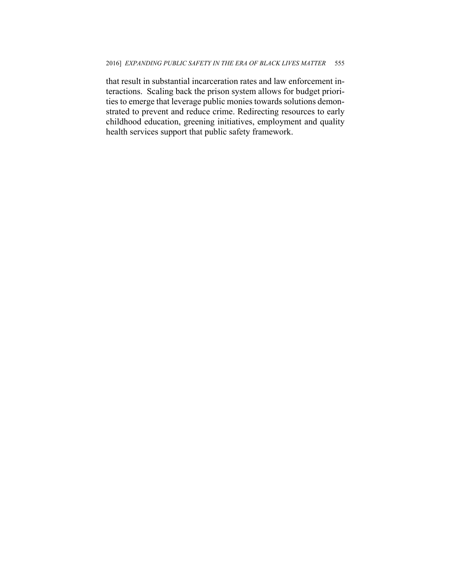that result in substantial incarceration rates and law enforcement interactions. Scaling back the prison system allows for budget priorities to emerge that leverage public monies towards solutions demonstrated to prevent and reduce crime. Redirecting resources to early childhood education, greening initiatives, employment and quality health services support that public safety framework.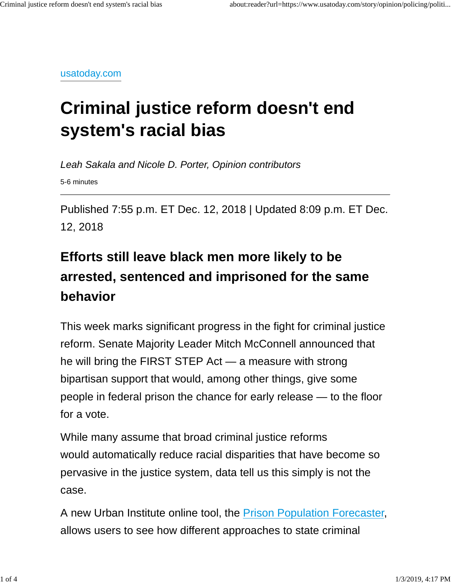usatoday.com

# **Criminal justice reform doesn't end system's racial bias**

Leah Sakala and Nicole D. Porter, Opinion contributors 5-6 minutes

Published 7:55 p.m. ET Dec. 12, 2018 | Updated 8:09 p.m. ET Dec. 12, 2018

# **Efforts still leave black men more likely to be arrested, sentenced and imprisoned for the same behavior**

This week marks significant progress in the fight for criminal justice reform. Senate Majority Leader Mitch McConnell announced that he will bring the FIRST STEP Act — a measure with strong bipartisan support that would, among other things, give some people in federal prison the chance for early release — to the floor for a vote.

While many assume that broad criminal justice reforms would automatically reduce racial disparities that have become so pervasive in the justice system, data tell us this simply is not the case.

A new Urban Institute online tool, the Prison Population Forecaster, allows users to see how different approaches to state criminal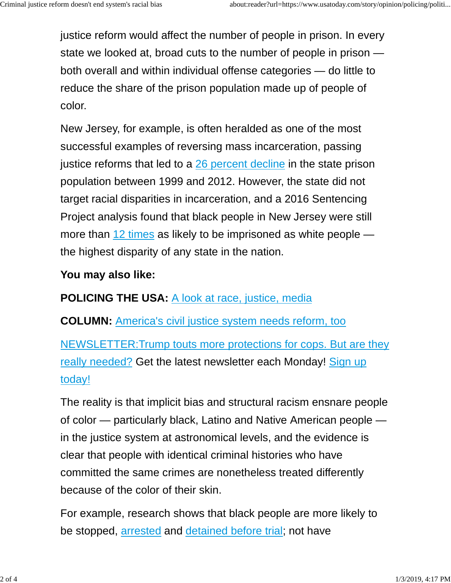justice reform would affect the number of people in prison. In every state we looked at, broad cuts to the number of people in prison both overall and within individual offense categories — do little to reduce the share of the prison population made up of people of color.

New Jersey, for example, is often heralded as one of the most successful examples of reversing mass incarceration, passing justice reforms that led to a 26 percent decline in the state prison population between 1999 and 2012. However, the state did not target racial disparities in incarceration, and a 2016 Sentencing Project analysis found that black people in New Jersey were still more than 12 times as likely to be imprisoned as white people the highest disparity of any state in the nation.

## **You may also like:**

**POLICING THE USA: A look at race, justice, media** 

**COLUMN:** America's civil justice system needs reform, too

NEWSLETTER:Trump touts more protections for cops. But are they really needed? Get the latest newsletter each Monday! Sign up today!

The reality is that implicit bias and structural racism ensnare people of color — particularly black, Latino and Native American people in the justice system at astronomical levels, and the evidence is clear that people with identical criminal histories who have committed the same crimes are nonetheless treated differently because of the color of their skin.

For example, research shows that black people are more likely to be stopped, arrested and detained before trial; not have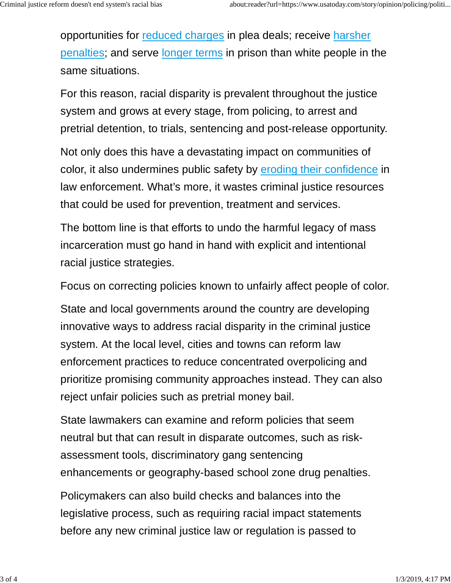opportunities for reduced charges in plea deals; receive harsher penalties; and serve longer terms in prison than white people in the same situations.

For this reason, racial disparity is prevalent throughout the justice system and grows at every stage, from policing, to arrest and pretrial detention, to trials, sentencing and post-release opportunity.

Not only does this have a devastating impact on communities of color, it also undermines public safety by eroding their confidence in law enforcement. What's more, it wastes criminal justice resources that could be used for prevention, treatment and services.

The bottom line is that efforts to undo the harmful legacy of mass incarceration must go hand in hand with explicit and intentional racial justice strategies.

Focus on correcting policies known to unfairly affect people of color.

State and local governments around the country are developing innovative ways to address racial disparity in the criminal justice system. At the local level, cities and towns can reform law enforcement practices to reduce concentrated overpolicing and prioritize promising community approaches instead. They can also reject unfair policies such as pretrial money bail.

State lawmakers can examine and reform policies that seem neutral but that can result in disparate outcomes, such as riskassessment tools, discriminatory gang sentencing enhancements or geography-based school zone drug penalties.

Policymakers can also build checks and balances into the legislative process, such as requiring racial impact statements before any new criminal justice law or regulation is passed to